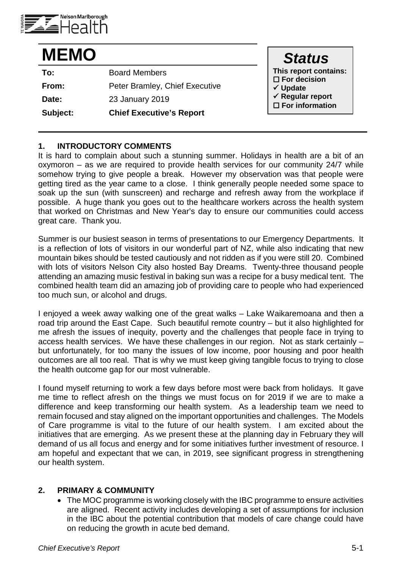

| <b>MEMO</b> |                                 | <b>Status</b>                                            |
|-------------|---------------------------------|----------------------------------------------------------|
| To:         | <b>Board Members</b>            | This report contains:                                    |
| From:       | Peter Bramley, Chief Executive  | $\square$ For decision<br>$\checkmark$ Update            |
| Date:       | 23 January 2019                 | $\checkmark$ Regular report<br>$\square$ For information |
| Subject:    | <b>Chief Executive's Report</b> |                                                          |

## **1. INTRODUCTORY COMMENTS**

It is hard to complain about such a stunning summer. Holidays in health are a bit of an oxymoron – as we are required to provide health services for our community 24/7 while somehow trying to give people a break. However my observation was that people were getting tired as the year came to a close. I think generally people needed some space to soak up the sun (with sunscreen) and recharge and refresh away from the workplace if possible. A huge thank you goes out to the healthcare workers across the health system that worked on Christmas and New Year's day to ensure our communities could access great care. Thank you.

Summer is our busiest season in terms of presentations to our Emergency Departments. It is a reflection of lots of visitors in our wonderful part of NZ, while also indicating that new mountain bikes should be tested cautiously and not ridden as if you were still 20. Combined with lots of visitors Nelson City also hosted Bay Dreams. Twenty-three thousand people attending an amazing music festival in baking sun was a recipe for a busy medical tent. The combined health team did an amazing job of providing care to people who had experienced too much sun, or alcohol and drugs.

I enjoyed a week away walking one of the great walks – Lake Waikaremoana and then a road trip around the East Cape. Such beautiful remote country – but it also highlighted for me afresh the issues of inequity, poverty and the challenges that people face in trying to access health services. We have these challenges in our region. Not as stark certainly – but unfortunately, for too many the issues of low income, poor housing and poor health outcomes are all too real. That is why we must keep giving tangible focus to trying to close the health outcome gap for our most vulnerable.

I found myself returning to work a few days before most were back from holidays. It gave me time to reflect afresh on the things we must focus on for 2019 if we are to make a difference and keep transforming our health system. As a leadership team we need to remain focused and stay aligned on the important opportunities and challenges. The Models of Care programme is vital to the future of our health system. I am excited about the initiatives that are emerging. As we present these at the planning day in February they will demand of us all focus and energy and for some initiatives further investment of resource. I am hopeful and expectant that we can, in 2019, see significant progress in strengthening our health system.

#### **2. PRIMARY & COMMUNITY**

• The MOC programme is working closely with the IBC programme to ensure activities are aligned. Recent activity includes developing a set of assumptions for inclusion in the IBC about the potential contribution that models of care change could have on reducing the growth in acute bed demand.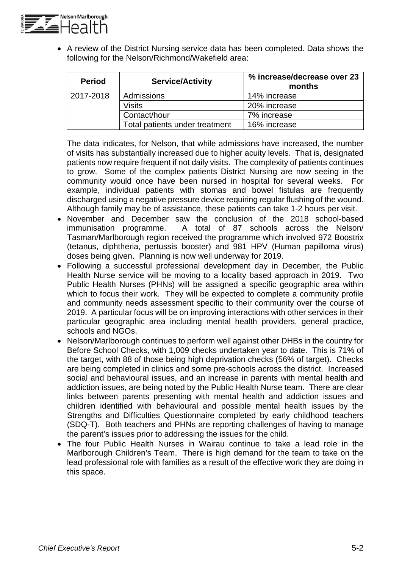

• A review of the District Nursing service data has been completed. Data shows the following for the Nelson/Richmond/Wakefield area:

| <b>Period</b> | <b>Service/Activity</b>        | % increase/decrease over 23<br>months |
|---------------|--------------------------------|---------------------------------------|
| 2017-2018     | Admissions                     | 14% increase                          |
|               | <b>Visits</b>                  | 20% increase                          |
|               | Contact/hour                   | 7% increase                           |
|               | Total patients under treatment | 16% increase                          |

The data indicates, for Nelson, that while admissions have increased, the number of visits has substantially increased due to higher acuity levels. That is, designated patients now require frequent if not daily visits. The complexity of patients continues to grow. Some of the complex patients District Nursing are now seeing in the community would once have been nursed in hospital for several weeks. For example, individual patients with stomas and bowel fistulas are frequently discharged using a negative pressure device requiring regular flushing of the wound. Although family may be of assistance, these patients can take 1-2 hours per visit.

- November and December saw the conclusion of the 2018 school-based immunisation programme. A total of 87 schools across the Nelson/ A total of 87 schools across the Nelson/ Tasman/Marlborough region received the programme which involved 972 Boostrix (tetanus, diphtheria, pertussis booster) and 981 HPV (Human papilloma virus) doses being given. Planning is now well underway for 2019.
- Following a successful professional development day in December, the Public Health Nurse service will be moving to a locality based approach in 2019. Two Public Health Nurses (PHNs) will be assigned a specific geographic area within which to focus their work. They will be expected to complete a community profile and community needs assessment specific to their community over the course of 2019. A particular focus will be on improving interactions with other services in their particular geographic area including mental health providers, general practice, schools and NGOs.
- Nelson/Marlborough continues to perform well against other DHBs in the country for Before School Checks, with 1,009 checks undertaken year to date. This is 71% of the target, with 88 of those being high deprivation checks (56% of target). Checks are being completed in clinics and some pre-schools across the district. Increased social and behavioural issues, and an increase in parents with mental health and addiction issues, are being noted by the Public Health Nurse team. There are clear links between parents presenting with mental health and addiction issues and children identified with behavioural and possible mental health issues by the Strengths and Difficulties Questionnaire completed by early childhood teachers (SDQ-T). Both teachers and PHNs are reporting challenges of having to manage the parent's issues prior to addressing the issues for the child.
- The four Public Health Nurses in Wairau continue to take a lead role in the Marlborough Children's Team. There is high demand for the team to take on the lead professional role with families as a result of the effective work they are doing in this space.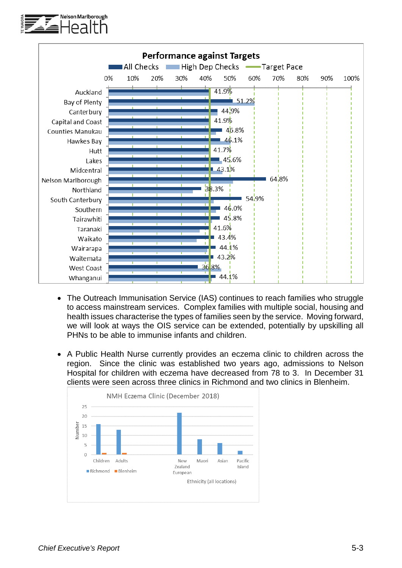



- The Outreach Immunisation Service (IAS) continues to reach families who struggle to access mainstream services. Complex families with multiple social, housing and health issues characterise the types of families seen by the service. Moving forward, we will look at ways the OIS service can be extended, potentially by upskilling all PHNs to be able to immunise infants and children.
- A Public Health Nurse currently provides an eczema clinic to children across the region. Since the clinic was established two years ago, admissions to Nelson Hospital for children with eczema have decreased from 78 to 3. In December 31 clients were seen across three clinics in Richmond and two clinics in Blenheim.

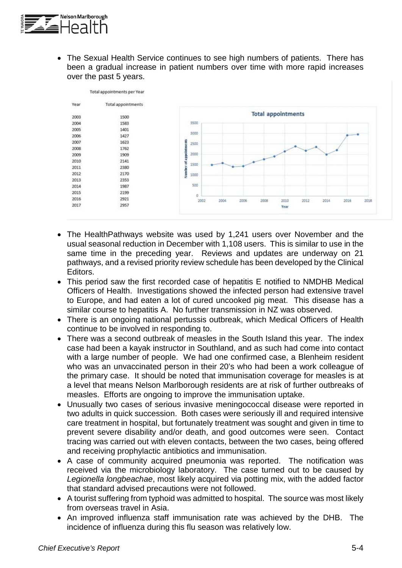

• The Sexual Health Service continues to see high numbers of patients. There has been a gradual increase in patient numbers over time with more rapid increases over the past 5 years.

| Year | Total appointments |                                                                      |
|------|--------------------|----------------------------------------------------------------------|
| 2003 | 1500               | <b>Total appointments</b>                                            |
|      |                    | 3500                                                                 |
| 2004 | 1583               |                                                                      |
| 2005 | 1401               | 3000                                                                 |
| 2006 | 1427               |                                                                      |
| 2007 | 1623               | 2500<br>콩                                                            |
| 2008 | 1762               |                                                                      |
| 2009 | 1909               | 2000                                                                 |
| 2010 | 2141               | Number of appoin                                                     |
| 2011 | 2380               | 1500                                                                 |
| 2012 | 2170               | 1000                                                                 |
| 2013 | 2353               |                                                                      |
| 2014 | 1987               | 500                                                                  |
| 2015 | 2199               | ö                                                                    |
| 2016 | 2921               | 2002<br>2004<br>2006<br>2008<br>2012<br>2014<br>2016<br>2018<br>2010 |
| 2017 | 2957               | Year                                                                 |

- The HealthPathways website was used by 1,241 users over November and the usual seasonal reduction in December with 1,108 users. This is similar to use in the same time in the preceding year. Reviews and updates are underway on 21 pathways, and a revised priority review schedule has been developed by the Clinical Editors.
- This period saw the first recorded case of hepatitis E notified to NMDHB Medical Officers of Health. Investigations showed the infected person had extensive travel to Europe, and had eaten a lot of cured uncooked pig meat. This disease has a similar course to hepatitis A. No further transmission in NZ was observed.
- There is an ongoing national pertussis outbreak, which Medical Officers of Health continue to be involved in responding to.
- There was a second outbreak of measles in the South Island this year. The index case had been a kayak instructor in Southland, and as such had come into contact with a large number of people. We had one confirmed case, a Blenheim resident who was an unvaccinated person in their 20's who had been a work colleague of the primary case. It should be noted that immunisation coverage for measles is at a level that means Nelson Marlborough residents are at risk of further outbreaks of measles. Efforts are ongoing to improve the immunisation uptake.
- Unusually two cases of serious invasive meningococcal disease were reported in two adults in quick succession. Both cases were seriously ill and required intensive care treatment in hospital, but fortunately treatment was sought and given in time to prevent severe disability and/or death, and good outcomes were seen. Contact tracing was carried out with eleven contacts, between the two cases, being offered and receiving prophylactic antibiotics and immunisation.
- A case of community acquired pneumonia was reported. The notification was received via the microbiology laboratory. The case turned out to be caused by *Legionella longbeachae*, most likely acquired via potting mix, with the added factor that standard advised precautions were not followed.
- A tourist suffering from typhoid was admitted to hospital. The source was most likely from overseas travel in Asia.
- An improved influenza staff immunisation rate was achieved by the DHB. The incidence of influenza during this flu season was relatively low.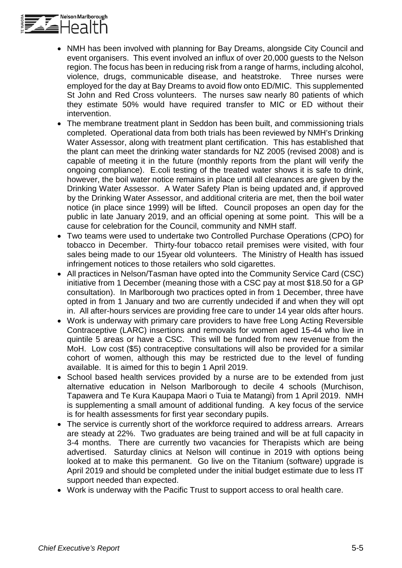

- NMH has been involved with planning for Bay Dreams, alongside City Council and event organisers. This event involved an influx of over 20,000 guests to the Nelson region. The focus has been in reducing risk from a range of harms, including alcohol, violence, drugs, communicable disease, and heatstroke. Three nurses were employed for the day at Bay Dreams to avoid flow onto ED/MIC. This supplemented St John and Red Cross volunteers. The nurses saw nearly 80 patients of which they estimate 50% would have required transfer to MIC or ED without their intervention.
- The membrane treatment plant in Seddon has been built, and commissioning trials completed. Operational data from both trials has been reviewed by NMH's Drinking Water Assessor, along with treatment plant certification. This has established that the plant can meet the drinking water standards for NZ 2005 (revised 2008) and is capable of meeting it in the future (monthly reports from the plant will verify the ongoing compliance). E.coli testing of the treated water shows it is safe to drink, however, the boil water notice remains in place until all clearances are given by the Drinking Water Assessor. A Water Safety Plan is being updated and, if approved by the Drinking Water Assessor, and additional criteria are met, then the boil water notice (in place since 1999) will be lifted. Council proposes an open day for the public in late January 2019, and an official opening at some point. This will be a cause for celebration for the Council, community and NMH staff.
- Two teams were used to undertake two Controlled Purchase Operations (CPO) for tobacco in December. Thirty-four tobacco retail premises were visited, with four sales being made to our 15year old volunteers. The Ministry of Health has issued infringement notices to those retailers who sold cigarettes.
- All practices in Nelson/Tasman have opted into the Community Service Card (CSC) initiative from 1 December (meaning those with a CSC pay at most \$18.50 for a GP consultation). In Marlborough two practices opted in from 1 December, three have opted in from 1 January and two are currently undecided if and when they will opt in. All after-hours services are providing free care to under 14 year olds after hours.
- Work is underway with primary care providers to have free Long Acting Reversible Contraceptive (LARC) insertions and removals for women aged 15-44 who live in quintile 5 areas or have a CSC. This will be funded from new revenue from the MoH. Low cost (\$5) contraceptive consultations will also be provided for a similar cohort of women, although this may be restricted due to the level of funding available. It is aimed for this to begin 1 April 2019.
- School based health services provided by a nurse are to be extended from just alternative education in Nelson Marlborough to decile 4 schools (Murchison, Tapawera and Te Kura Kaupapa Maori o Tuia te Matangi) from 1 April 2019. NMH is supplementing a small amount of additional funding. A key focus of the service is for health assessments for first year secondary pupils.
- The service is currently short of the workforce required to address arrears. Arrears are steady at 22%. Two graduates are being trained and will be at full capacity in 3-4 months. There are currently two vacancies for Therapists which are being advertised. Saturday clinics at Nelson will continue in 2019 with options being looked at to make this permanent. Go live on the Titanium (software) upgrade is April 2019 and should be completed under the initial budget estimate due to less IT support needed than expected.
- Work is underway with the Pacific Trust to support access to oral health care.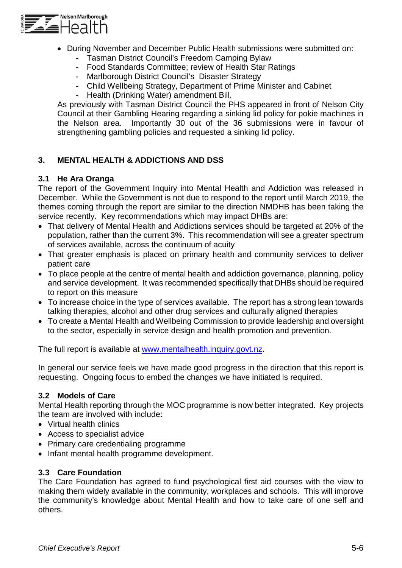

- During November and December Public Health submissions were submitted on:
	- Tasman District Council's Freedom Camping Bylaw
	- Food Standards Committee; review of Health Star Ratings
	- Marlborough District Council's Disaster Strategy
	- Child Wellbeing Strategy, Department of Prime Minister and Cabinet
	- Health (Drinking Water) amendment Bill.

As previously with Tasman District Council the PHS appeared in front of Nelson City Council at their Gambling Hearing regarding a sinking lid policy for pokie machines in the Nelson area. Importantly 30 out of the 36 submissions were in favour of strengthening gambling policies and requested a sinking lid policy.

# **3. MENTAL HEALTH & ADDICTIONS AND DSS**

## **3.1 He Ara Oranga**

The report of the Government Inquiry into Mental Health and Addiction was released in December. While the Government is not due to respond to the report until March 2019, the themes coming through the report are similar to the direction NMDHB has been taking the service recently. Key recommendations which may impact DHBs are:

- That delivery of Mental Health and Addictions services should be targeted at 20% of the population, rather than the current 3%. This recommendation will see a greater spectrum of services available, across the continuum of acuity
- That greater emphasis is placed on primary health and community services to deliver patient care
- To place people at the centre of mental health and addiction governance, planning, policy and service development. It was recommended specifically that DHBs should be required to report on this measure
- To increase choice in the type of services available. The report has a strong lean towards talking therapies, alcohol and other drug services and culturally aligned therapies
- To create a Mental Health and Wellbeing Commission to provide leadership and oversight to the sector, especially in service design and health promotion and prevention.

The full report is available at [www.mentalhealth.inquiry.govt.nz.](http://www.mentalhealth.inquiry.govt.nz/)

In general our service feels we have made good progress in the direction that this report is requesting. Ongoing focus to embed the changes we have initiated is required.

# **3.2 Models of Care**

Mental Health reporting through the MOC programme is now better integrated. Key projects the team are involved with include:

- Virtual health clinics
- Access to specialist advice
- Primary care credentialing programme
- Infant mental health programme development.

# **3.3 Care Foundation**

The Care Foundation has agreed to fund psychological first aid courses with the view to making them widely available in the community, workplaces and schools. This will improve the community's knowledge about Mental Health and how to take care of one self and others.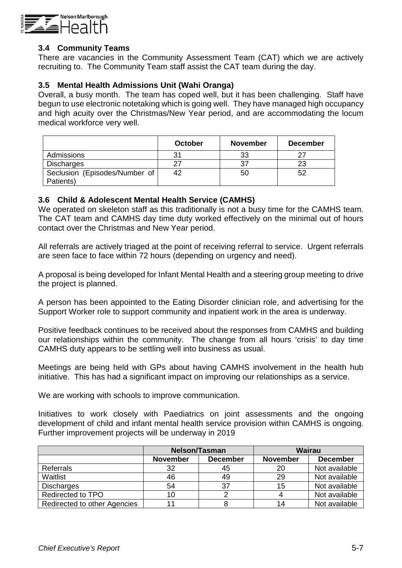

#### **3.4 Community Teams**

There are vacancies in the Community Assessment Team (CAT) which we are actively recruiting to. The Community Team staff assist the CAT team during the day.

#### **3.5 Mental Health Admissions Unit (Wahi Oranga)**

Overall, a busy month. The team has coped well, but it has been challenging. Staff have begun to use electronic notetaking which is going well. They have managed high occupancy and high acuity over the Christmas/New Year period, and are accommodating the locum medical workforce very well.

|                               | October | <b>November</b> | <b>December</b> |
|-------------------------------|---------|-----------------|-----------------|
| Admissions                    | 31      | 33              |                 |
| <b>Discharges</b>             | 27      |                 | 23              |
| Seclusion (Episodes/Number of | 42      | 50              | 52              |
| Patients)                     |         |                 |                 |

#### **3.6 Child & Adolescent Mental Health Service (CAMHS)**

We operated on skeleton staff as this traditionally is not a busy time for the CAMHS team. The CAT team and CAMHS day time duty worked effectively on the minimal out of hours contact over the Christmas and New Year period.

All referrals are actively triaged at the point of receiving referral to service. Urgent referrals are seen face to face within 72 hours (depending on urgency and need).

A proposal is being developed for Infant Mental Health and a steering group meeting to drive the project is planned.

A person has been appointed to the Eating Disorder clinician role, and advertising for the Support Worker role to support community and inpatient work in the area is underway.

Positive feedback continues to be received about the responses from CAMHS and building our relationships within the community. The change from all hours 'crisis' to day time CAMHS duty appears to be settling well into business as usual.

Meetings are being held with GPs about having CAMHS involvement in the health hub initiative. This has had a significant impact on improving our relationships as a service.

We are working with schools to improve communication.

Initiatives to work closely with Paediatrics on joint assessments and the ongoing development of child and infant mental health service provision within CAMHS is ongoing. Further improvement projects will be underway in 2019

|                              |                 | <b>Nelson/Tasman</b> |                 | Wairau          |
|------------------------------|-----------------|----------------------|-----------------|-----------------|
|                              | <b>November</b> | <b>December</b>      | <b>November</b> | <b>December</b> |
| Referrals                    | 32              | 45                   | 20              | Not available   |
| Waitlist                     | 46              | 49                   | 29              | Not available   |
| <b>Discharges</b>            | 54              | 37                   | 15              | Not available   |
| Redirected to TPO            | 10              |                      |                 | Not available   |
| Redirected to other Agencies |                 |                      |                 | Not available   |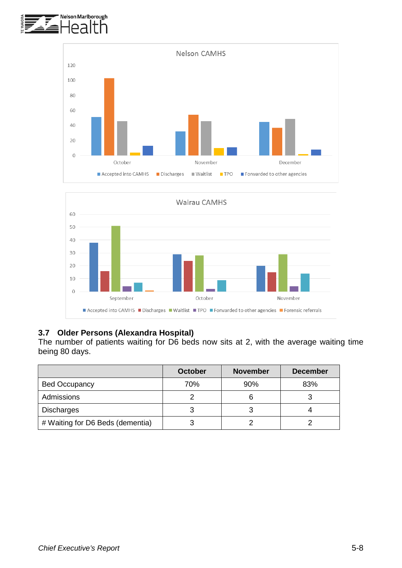





## **3.7 Older Persons (Alexandra Hospital)**

The number of patients waiting for D6 beds now sits at 2, with the average waiting time being 80 days.

|                                  | <b>October</b> | <b>November</b> | <b>December</b> |
|----------------------------------|----------------|-----------------|-----------------|
| <b>Bed Occupancy</b>             | 70%            | 90%             | 83%             |
| Admissions                       |                | 6               |                 |
| <b>Discharges</b>                |                | З               |                 |
| # Waiting for D6 Beds (dementia) |                |                 |                 |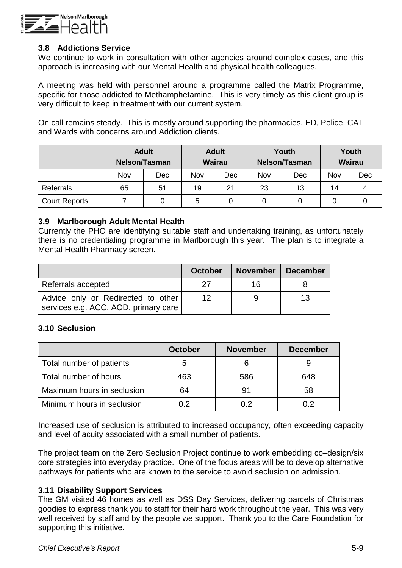

#### **3.8 Addictions Service**

We continue to work in consultation with other agencies around complex cases, and this approach is increasing with our Mental Health and physical health colleagues.

A meeting was held with personnel around a programme called the Matrix Programme, specific for those addicted to Methamphetamine. This is very timely as this client group is very difficult to keep in treatment with our current system.

On call remains steady. This is mostly around supporting the pharmacies, ED, Police, CAT and Wards with concerns around Addiction clients.

|                      | <b>Adult</b><br><b>Nelson/Tasman</b> |     | <b>Adult</b><br><b>Wairau</b> |     | Youth<br><b>Nelson/Tasman</b> |     | Youth<br><b>Wairau</b> |     |
|----------------------|--------------------------------------|-----|-------------------------------|-----|-------------------------------|-----|------------------------|-----|
|                      | Nov                                  | Dec | Nov                           | Dec | Nov                           | Dec | Nov                    | Dec |
| Referrals            | 65                                   | 51  | 19                            | 21  | 23                            | 13  | 14                     | 4   |
| <b>Court Reports</b> |                                      |     | 5                             | 0   |                               |     | 0                      |     |

#### **3.9 Marlborough Adult Mental Health**

Currently the PHO are identifying suitable staff and undertaking training, as unfortunately there is no credentialing programme in Marlborough this year. The plan is to integrate a Mental Health Pharmacy screen.

|                                                                            | <b>October</b> | <b>November</b> | <b>December</b> |
|----------------------------------------------------------------------------|----------------|-----------------|-----------------|
| Referrals accepted                                                         |                | 16              |                 |
| Advice only or Redirected to other<br>services e.g. ACC, AOD, primary care | 12             |                 | 13              |

#### **3.10 Seclusion**

|                            | <b>October</b> | <b>November</b> | <b>December</b> |
|----------------------------|----------------|-----------------|-----------------|
| Total number of patients   | b              |                 |                 |
| Total number of hours      | 463            | 586             | 648             |
| Maximum hours in seclusion | 64             | 91              | 58              |
| Minimum hours in seclusion | በ 2            | 0.2             | በ 2             |

Increased use of seclusion is attributed to increased occupancy, often exceeding capacity and level of acuity associated with a small number of patients.

The project team on the Zero Seclusion Project continue to work embedding co–design/six core strategies into everyday practice. One of the focus areas will be to develop alternative pathways for patients who are known to the service to avoid seclusion on admission.

#### **3.11 Disability Support Services**

The GM visited 46 homes as well as DSS Day Services, delivering parcels of Christmas goodies to express thank you to staff for their hard work throughout the year. This was very well received by staff and by the people we support. Thank you to the Care Foundation for supporting this initiative.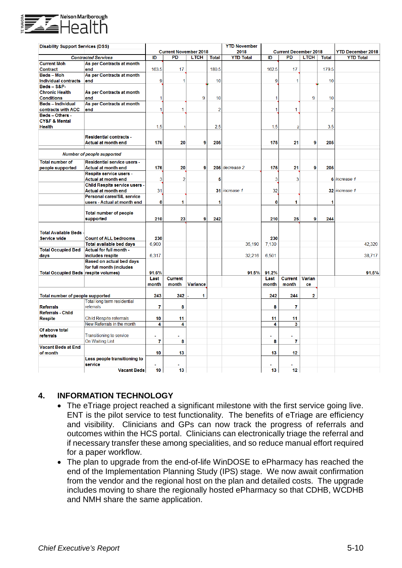

| <b>Disability Support Services (DSS)</b> |                                          |          |                              |             |                | <b>YTD November</b> |                     |                              |                |                |                          |
|------------------------------------------|------------------------------------------|----------|------------------------------|-------------|----------------|---------------------|---------------------|------------------------------|----------------|----------------|--------------------------|
|                                          |                                          |          | <b>Current November 2018</b> |             |                | 2018                |                     | <b>Current December 2018</b> |                |                | <b>YTD December 2018</b> |
|                                          | <b>Contracted Services</b>               | ID       | PD                           | <b>LTCH</b> | <b>Total</b>   | <b>YTD Total</b>    | ID                  | <b>PD</b>                    | <b>LTCH</b>    | <b>Total</b>   | <b>YTD Total</b>         |
| <b>Current Moh</b>                       | As per Contracts at month                |          |                              |             |                |                     |                     |                              |                |                |                          |
| Contract                                 | end                                      | 163.5    | 17                           |             | 180.5          |                     | 162.5               | 17                           |                | 179.5          |                          |
| <b>Beds-Moh</b>                          | As per Contracts at month                |          |                              |             |                |                     |                     |                              |                |                |                          |
| <b>Individual contracts</b>              | end                                      | 9        |                              |             | 10             |                     | 9                   | 1                            |                | 10             |                          |
| Beds - S&P-                              |                                          |          |                              |             |                |                     |                     |                              |                |                |                          |
| <b>Chronic Health</b>                    | As per Contracts at month                |          |                              |             |                |                     |                     |                              |                |                |                          |
| <b>Conditions</b>                        | end                                      | 1        |                              | 9           | 10             |                     | 1                   |                              | 9              | 10             |                          |
| <b>Beds-Individual</b>                   | As per Contracts at month                |          |                              |             |                |                     |                     |                              |                |                |                          |
| contracts with ACC                       | end                                      | 1        | 1                            |             | $\overline{2}$ |                     | 1                   | 1                            |                | $\overline{2}$ |                          |
| Beds - Others -                          |                                          |          |                              |             |                |                     |                     |                              |                |                |                          |
| <b>CY&amp;F &amp; Mental</b>             |                                          |          |                              |             |                |                     |                     |                              |                |                |                          |
| <b>Health</b>                            |                                          | 1.5      |                              |             | 2.5            |                     | 1.5                 | $\overline{2}$               |                | 3.5            |                          |
|                                          | <b>Residential contracts -</b>           |          |                              |             |                |                     |                     |                              |                |                |                          |
|                                          | Actual at month end                      | 176      | 20                           | 9           | 205            |                     | 175                 | 21                           | 9              | 205            |                          |
|                                          |                                          |          |                              |             |                |                     |                     |                              |                |                |                          |
|                                          | <b>Number of people supported</b>        |          |                              |             |                |                     |                     |                              |                |                |                          |
| <b>Total number of</b>                   | <b>Residential service users -</b>       |          |                              |             |                |                     |                     |                              |                |                |                          |
| people supported                         | <b>Actual at month end</b>               | 176      | 20                           | 9           |                | 205 decrease 2      | 175                 | 21                           | 9              | 205            |                          |
|                                          | Respite service users -                  |          |                              |             |                |                     |                     |                              |                |                |                          |
|                                          | Actual at month end                      | 3        | $\overline{2}$               |             | 5              |                     | 3                   | 3                            |                |                | 6 increase 1             |
|                                          | Child Respite service users -            |          |                              |             |                |                     |                     |                              |                |                |                          |
|                                          | <b>Actual at month end</b>               | 31       |                              |             |                | 31 increase 1       | 32                  |                              |                |                | 32 increase 1            |
|                                          | <b>Personal cares/SIL service</b>        |          |                              |             |                |                     |                     |                              |                |                |                          |
|                                          | users - Actual at month end              | $\bf{0}$ | 1                            |             | 1              |                     | 0                   | 1                            |                | 1              |                          |
|                                          |                                          |          |                              |             |                |                     |                     |                              |                |                |                          |
|                                          | <b>Total number of people</b>            |          |                              |             |                |                     |                     |                              |                |                |                          |
|                                          | supported                                | 210      | 23                           | 9           | 242            |                     | 210                 | 25                           | 9              | 244            |                          |
|                                          |                                          |          |                              |             |                |                     |                     |                              |                |                |                          |
| <b>Total Available Beds</b>              |                                          |          |                              |             |                |                     |                     |                              |                |                |                          |
| <b>Service wide</b>                      | <b>Count of ALL bedrooms</b>             | 230      |                              |             |                |                     | 230                 |                              |                |                |                          |
|                                          | Total available bed days                 | 6,900    |                              |             |                | 35,190              | 7,130               |                              |                |                | 42,320                   |
| <b>Total Occupied Bed</b>                | Actual for full month -                  |          |                              |             |                |                     |                     |                              |                |                |                          |
| days                                     | includes respite                         | 6,317    |                              |             |                | 32,216              | 6,501               |                              |                |                | 38,717                   |
|                                          | Based on actual bed days                 |          |                              |             |                |                     |                     |                              |                |                |                          |
|                                          | for full month (includes                 |          |                              |             |                |                     |                     |                              |                |                |                          |
| Total Occupied Beds respite volumes)     |                                          | 91.6%    |                              |             |                | 91.5%               | 91.2%               |                              |                |                | 91.5%                    |
|                                          |                                          | Last     | <b>Current</b>               |             |                |                     | Last                | <b>Current</b>               | <b>Varian</b>  |                |                          |
|                                          |                                          | month    | month                        | Variance    |                |                     | month               | month                        | ce             |                |                          |
|                                          |                                          |          |                              |             |                |                     |                     |                              |                |                |                          |
| Total number of people supported         |                                          | 243      | 242                          | 1           |                |                     | 242                 | 244                          | $\overline{2}$ |                |                          |
| <b>Referrals</b>                         | Total long term residential<br>referrals | 7        | 8                            |             |                |                     | 8                   | 7                            |                |                |                          |
| <b>Referrals - Child</b>                 |                                          |          |                              |             |                |                     |                     |                              |                |                |                          |
| <b>Respite</b>                           | <b>Child Respite referrrals</b>          | 10       | 11                           |             |                |                     | 11                  | 11                           |                |                |                          |
|                                          | New Referrals in the month               | 4        | 4                            |             |                |                     | $\overline{\bf{4}}$ | $\overline{\mathbf{3}}$      |                |                |                          |
| Of above total                           |                                          |          |                              |             |                |                     |                     |                              |                |                |                          |
| referrals                                | <b>Transitioning to service</b>          |          |                              |             |                |                     |                     |                              |                |                |                          |
|                                          | On Waiting List                          | 7        | 8                            |             |                |                     | 8                   | 7                            |                |                |                          |
| <b>Vacant Beds at End</b>                |                                          |          |                              |             |                |                     |                     |                              |                |                |                          |
| of month                                 |                                          | 10       | 13                           |             |                |                     | 13                  | 12                           |                |                |                          |
|                                          | Less people transitioning to             |          |                              |             |                |                     |                     |                              |                |                |                          |
|                                          | service                                  |          |                              |             |                |                     |                     |                              |                |                |                          |
|                                          | <b>Vacant Beds</b>                       | 10       | 13                           |             |                |                     | 13                  | 12                           |                |                |                          |

#### **4. INFORMATION TECHNOLOGY**

- The eTriage project reached a significant milestone with the first service going live. ENT is the pilot service to test functionality. The benefits of eTriage are efficiency and visibility. Clinicians and GPs can now track the progress of referrals and outcomes within the HCS portal. Clinicians can electronically triage the referral and if necessary transfer these among specialities, and so reduce manual effort required for a paper workflow.
- The plan to upgrade from the end-of-life WinDOSE to ePharmacy has reached the end of the Implementation Planning Study (IPS) stage. We now await confirmation from the vendor and the regional host on the plan and detailed costs. The upgrade includes moving to share the regionally hosted ePharmacy so that CDHB, WCDHB and NMH share the same application.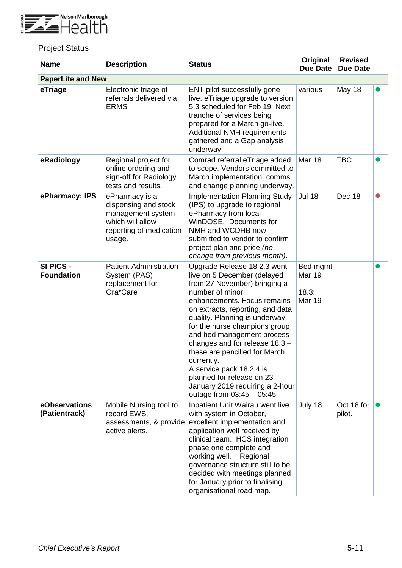

# **Project Status**

| <b>Name</b>                    | <b>Description</b>                                                                                                   | <b>Status</b>                                                                                                                                                                                                                                                                                                                                                                                                                                                                                    | Original<br><b>Due Date</b>                  | <b>Revised</b><br><b>Due Date</b> |  |
|--------------------------------|----------------------------------------------------------------------------------------------------------------------|--------------------------------------------------------------------------------------------------------------------------------------------------------------------------------------------------------------------------------------------------------------------------------------------------------------------------------------------------------------------------------------------------------------------------------------------------------------------------------------------------|----------------------------------------------|-----------------------------------|--|
| <b>PaperLite and New</b>       |                                                                                                                      |                                                                                                                                                                                                                                                                                                                                                                                                                                                                                                  |                                              |                                   |  |
| eTriage                        | Electronic triage of<br>referrals delivered via<br><b>ERMS</b>                                                       | ENT pilot successfully gone<br>live. eTriage upgrade to version<br>5.3 scheduled for Feb 19. Next<br>tranche of services being<br>prepared for a March go-live.<br><b>Additional NMH requirements</b><br>gathered and a Gap analysis<br>underway.                                                                                                                                                                                                                                                | various                                      | <b>May 18</b>                     |  |
| eRadiology                     | Regional project for<br>online ordering and<br>sign-off for Radiology<br>tests and results.                          | Comrad referral eTriage added<br>to scope. Vendors committed to<br>March implementation, comms<br>and change planning underway.                                                                                                                                                                                                                                                                                                                                                                  | <b>Mar 18</b>                                | <b>TBC</b>                        |  |
| ePharmacy: IPS                 | ePharmacy is a<br>dispensing and stock<br>management system<br>which will allow<br>reporting of medication<br>usage. | <b>Implementation Planning Study</b><br>(IPS) to upgrade to regional<br>ePharmacy from local<br>WinDOSE, Documents for<br>NMH and WCDHB now<br>submitted to vendor to confirm<br>project plan and price (no<br>change from previous month).                                                                                                                                                                                                                                                      | <b>Jul 18</b>                                | Dec 18                            |  |
| SI PICS -<br><b>Foundation</b> | <b>Patient Administration</b><br>System (PAS)<br>replacement for<br>Ora*Care                                         | Upgrade Release 18.2.3 went<br>live on 5 December (delayed<br>from 27 November) bringing a<br>number of minor<br>enhancements. Focus remains<br>on extracts, reporting, and data<br>quality. Planning is underway<br>for the nurse champions group<br>and bed management process<br>changes and for release $18.3 -$<br>these are pencilled for March<br>currently.<br>A service pack 18.2.4 is<br>planned for release on 23<br>January 2019 requiring a 2-hour<br>outage from $03:45 - 05:45$ . | Bed mgmt<br><b>Mar 19</b><br>18.3:<br>Mar 19 |                                   |  |
| eObservations<br>(Patientrack) | Mobile Nursing tool to<br>record EWS,<br>assessments, & provide<br>active alerts.                                    | Inpatient Unit Wairau went live<br>with system in October,<br>excellent implementation and<br>application well received by<br>clinical team. HCS integration<br>phase one complete and<br>working well.<br>Regional<br>governance structure still to be<br>decided with meetings planned<br>for January prior to finalising<br>organisational road map.                                                                                                                                          | July 18                                      | Oct 18 for<br>pilot.              |  |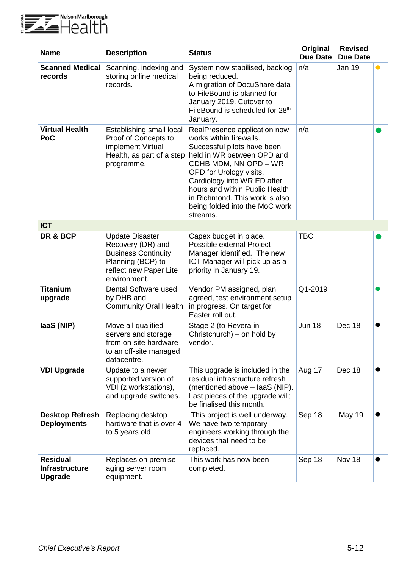

| <b>Name</b>                                                | <b>Description</b>                                                                                                                       | <b>Status</b>                                                                                                                                                                                                                                                                                                             | Original<br><b>Due Date</b> | <b>Revised</b><br><b>Due Date</b> |           |
|------------------------------------------------------------|------------------------------------------------------------------------------------------------------------------------------------------|---------------------------------------------------------------------------------------------------------------------------------------------------------------------------------------------------------------------------------------------------------------------------------------------------------------------------|-----------------------------|-----------------------------------|-----------|
| <b>Scanned Medical</b><br>records                          | Scanning, indexing and<br>storing online medical<br>records.                                                                             | System now stabilised, backlog<br>being reduced.<br>A migration of DocuShare data<br>to FileBound is planned for<br>January 2019. Cutover to<br>FileBound is scheduled for 28th<br>January.                                                                                                                               | n/a                         | Jan 19                            | $\bullet$ |
| <b>Virtual Health</b><br>PoC                               | Establishing small local<br>Proof of Concepts to<br>implement Virtual<br>Health, as part of a step<br>programme.                         | RealPresence application now<br>works within firewalls.<br>Successful pilots have been<br>held in WR between OPD and<br>CDHB MDM, NN OPD - WR<br>OPD for Urology visits,<br>Cardiology into WR ED after<br>hours and within Public Health<br>in Richmond. This work is also<br>being folded into the MoC work<br>streams. | n/a                         |                                   |           |
| <b>ICT</b>                                                 |                                                                                                                                          |                                                                                                                                                                                                                                                                                                                           |                             |                                   |           |
| DR & BCP                                                   | <b>Update Disaster</b><br>Recovery (DR) and<br><b>Business Continuity</b><br>Planning (BCP) to<br>reflect new Paper Lite<br>environment. | Capex budget in place.<br>Possible external Project<br>Manager identified. The new<br>ICT Manager will pick up as a<br>priority in January 19.                                                                                                                                                                            | <b>TBC</b>                  |                                   |           |
| <b>Titanium</b><br>upgrade                                 | Dental Software used<br>by DHB and<br><b>Community Oral Health</b>                                                                       | Vendor PM assigned, plan<br>agreed, test environment setup<br>in progress. On target for<br>Easter roll out.                                                                                                                                                                                                              | Q1-2019                     |                                   |           |
| laaS (NIP)                                                 | Move all qualified<br>servers and storage<br>from on-site hardware<br>to an off-site managed<br>datacentre.                              | Stage 2 (to Revera in<br>Christchurch) – on hold by<br>vendor.                                                                                                                                                                                                                                                            | <b>Jun 18</b>               | Dec 18                            |           |
| <b>VDI Upgrade</b>                                         | Update to a newer<br>supported version of<br>VDI (z workstations),<br>and upgrade switches.                                              | This upgrade is included in the<br>residual infrastructure refresh<br>(mentioned above - laaS (NIP).<br>Last pieces of the upgrade will;<br>be finalised this month.                                                                                                                                                      | Aug 17                      | Dec 18                            |           |
| <b>Desktop Refresh</b><br><b>Deployments</b>               | Replacing desktop<br>hardware that is over 4<br>to 5 years old                                                                           | This project is well underway.<br>We have two temporary<br>engineers working through the<br>devices that need to be<br>replaced.                                                                                                                                                                                          | Sep 18                      | <b>May 19</b>                     |           |
| <b>Residual</b><br><b>Infrastructure</b><br><b>Upgrade</b> | Replaces on premise<br>aging server room<br>equipment.                                                                                   | This work has now been<br>completed.                                                                                                                                                                                                                                                                                      | Sep 18                      | Nov 18                            |           |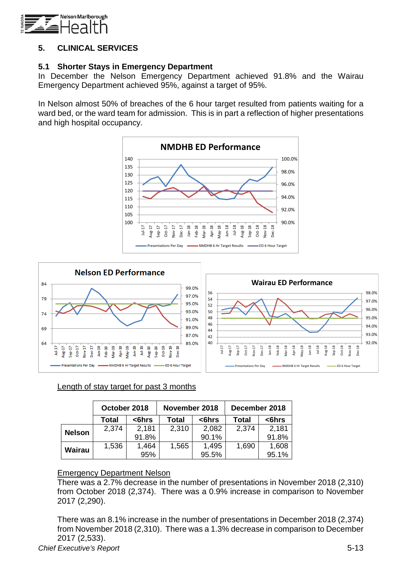

# **5. CLINICAL SERVICES**

## **5.1 Shorter Stays in Emergency Department**

In December the Nelson Emergency Department achieved 91.8% and the Wairau Emergency Department achieved 95%, against a target of 95%.

In Nelson almost 50% of breaches of the 6 hour target resulted from patients waiting for a ward bed, or the ward team for admission. This is in part a reflection of higher presentations and high hospital occupancy.





# Length of stay target for past 3 months

|               | October 2018 |        | November 2018 |        | December 2018 |        |  |  |  |  |
|---------------|--------------|--------|---------------|--------|---------------|--------|--|--|--|--|
|               | Total        | $6hrs$ | Total         | $6hrs$ | Total         | $6hrs$ |  |  |  |  |
| <b>Nelson</b> | 2,374        | 2,181  | 2,310         | 2,082  | 2,374         | 2,181  |  |  |  |  |
|               |              | 91.8%  |               | 90.1%  |               | 91.8%  |  |  |  |  |
| Wairau        | 1,536        | 1,464  | 1,565         | 1,495  | 1,690         | 1,608  |  |  |  |  |
|               |              | 95%    |               | 95.5%  |               | 95.1%  |  |  |  |  |

#### Emergency Department Nelson

There was a 2.7% decrease in the number of presentations in November 2018 (2,310) from October 2018 (2,374). There was a 0.9% increase in comparison to November 2017 (2,290).

There was an 8.1% increase in the number of presentations in December 2018 (2,374) from November 2018 (2,310). There was a 1.3% decrease in comparison to December 2017 (2,533).

*Chief Executive's Report* 5-13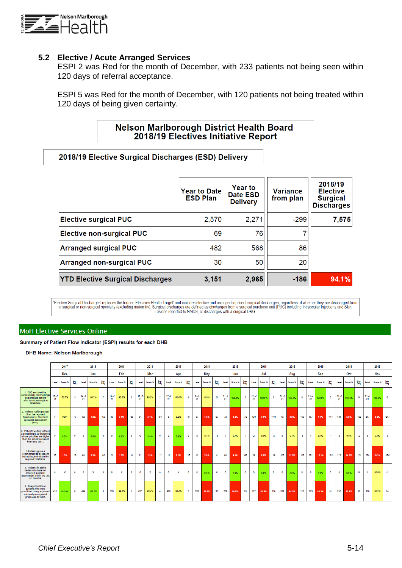

#### **5.2 Elective / Acute Arranged Services**

ESPI 2 was Red for the month of December, with 233 patients not being seen within 120 days of referral acceptance.

ESPI 5 was Red for the month of December, with 120 patients not being treated within 120 days of being given certainty.

# **Nelson Marlborough District Health Board** 2018/19 Electives Initiative Report

#### 2018/19 Elective Surgical Discharges (ESD) Delivery

|                                         | <b>Year to Date</b><br><b>ESD Plan</b> | <b>Year to</b><br>Date ESD<br><b>Delivery</b> | <b>Variance</b><br>from plan | 2018/19<br><b>Elective</b><br><b>Surgical</b><br><b>Discharges</b> |
|-----------------------------------------|----------------------------------------|-----------------------------------------------|------------------------------|--------------------------------------------------------------------|
| <b>Elective surgical PUC</b>            | 2,570                                  | 2,271                                         | $-299$                       | 7,575                                                              |
| <b>Elective non-surgical PUC</b>        | 69                                     | 76                                            |                              |                                                                    |
| <b>Arranged surgical PUC</b>            | 482                                    | 568                                           | 86                           |                                                                    |
| <b>Arranged non-surgical PUC</b>        | 30                                     | 50                                            | 20                           |                                                                    |
| <b>YTD Elective Surgical Discharges</b> | 3,151                                  | 2,965                                         | $-186$                       | 94.1%                                                              |

'Elective Surgical Discharges' replaces the former 'Electives Health Target' and includes elective and arranged inpatient surgical discharges, regardless of whether they are discharged from<br>a surgical or non-surgical speci

#### **MoH Elective Services Online**

Summary of Patient Flow Indicator (ESPI) results for each DHB

**DHB Name: Nelson Marlborough** 

|  |                                                                                                                                          |             | 2017         |             | 2018        |          | 2018           |             |             | 2018           |             |             |                | 2018        |             |                | 2018       |                |             | 2018        |          |         | 2018           |          |             | 2018        |          | 2018        |             |            |            | 2018              |            |                    | 2018         |          |        |
|--|------------------------------------------------------------------------------------------------------------------------------------------|-------------|--------------|-------------|-------------|----------|----------------|-------------|-------------|----------------|-------------|-------------|----------------|-------------|-------------|----------------|------------|----------------|-------------|-------------|----------|---------|----------------|----------|-------------|-------------|----------|-------------|-------------|------------|------------|-------------------|------------|--------------------|--------------|----------|--------|
|  |                                                                                                                                          |             | <b>Dec</b>   |             |             | Jan      |                | Feb         |             |                | Mar         |             |                | Apr         |             |                | Mav        |                | Jun         |             | Jul      |         |                | Aug      |             |             | Sep      |             |             | <b>Oct</b> |            |                   | Nov        |                    |              |          |        |
|  |                                                                                                                                          | Level       | Status %     | 瓥           | Level       | Status % | 體              | Level       | Status %    | 糯              | Level       | Status %    | lmp.<br>Rea    | Level       | Status %    | 腮              |            | Level Status % | <b>Imp.</b> | Level       | Status % | 譳       | Level          | Status % | <b>Red.</b> | Level       | Status % | <b>Red.</b> | Level       | Status %   | <b>Rea</b> | Level             | Status %   | <b>Imp.</b><br>Rea | Level        | Status % | Red    |
|  | 1. DHB services that<br>appropriately acknowledge<br>and process patient<br>referrals within required<br>timeframe.                      | 18 of<br>21 | 85.7%        | $3^{\circ}$ | 14 of<br>21 | 66.7%    | $\overline{7}$ | 19 of<br>21 | 90.5%       | $\overline{2}$ | 19 of<br>21 | 90.5%       | $\overline{2}$ | 17 of<br>21 | 81.0%       | $\overline{4}$ | 0 of<br>21 | $0.0\%$        | 21          | 21 of<br>21 | 100.0%   | $\circ$ | 21 of<br>21    | 100.0%   | $\bullet$   | 21 of<br>21 | 100.0%   | $\circ$     | 21 of<br>21 | 100.0%     | $\circ$    | $\frac{2101}{21}$ | 100.0%     | $\circ$            | 21 of<br>21  | 100.0% 0 |        |
|  | 2. Patients waiting longer<br>than the required<br>timeframe for their first<br>specialist assessment<br>(FSA).                          | 5           | 0.2%         | $-5$        | 62          | 1.8%     | $-62$          | 85          | 2.6%        | $-85$          | 94          | 3.2%        | $-94$          | 8           | 0.2%        | $-8$           | 67         | 1.3%           | $-67$       | 72          | 1.4%     | $-72$   | 100            | 2.0%     | $-100$      | 42          | 0.8%     | $-42$       | 157         | 3.1%       | $-157$     | 139               | 3.0%       | $-139$             | 217          | 4.4%     | $-217$ |
|  | 3. Patients waiting without<br>a commitment to treatment<br>whose priorities are higher<br>than the actual treatment<br>threshold (aTT). |             | 0.0%         | $\circ$     | $\circ$     | 0.0%     | $^{\circ}$     | $\bullet$   | $0.0\%$     | $\bullet$      | $\bullet$   | 0.0%        | $\circ$        | $\circ$     | 0.0%        | $\bullet$      | 8          | 0.1%           | $-8$        | -7          | 0.1%     | $-7$    | $\overline{2}$ | 0.0%     | $-2$        | $\sim$      | 0.1%     | $-5$        | $\sim$      | 0.1%       | $-4$       | $\overline{2}$    | 0.0%       | $-2$               | $\mathbf{3}$ | 0.1%     | $-3$   |
|  | 5.Patients given a<br>commitment to treatment<br>but not treated within the<br>required timeframe.                                       | 16          | 1.2%         | $-16$       | 43          | 3.3%     | $-43$          | 22          | 1.7%        | $-22$          | 17          | 1.3%        | $-17$          | 15          | 1.1%        | $-15$          | 21         | 2.0%           | $-21$       | 45          | 4.3%     | $-45$   | 94             | 8.5%     | $-94$       | 126         | 12.0%    | $-126$      | 151         | 13.1%      | $-151$     | 179               | 14.2% -179 |                    | 253          | 19.2%    | $-253$ |
|  | 6. Patients in active<br>review who have not<br>received a clinical<br>assessment within the last<br>six months.                         | $\circ$     | $\mathbf{x}$ | $\Omega$    | $\bullet$   | x        | $^{\circ}$     | $\circ$     | $\mathbf x$ | $\Omega$       | $\Omega$    | $\mathbf x$ | $\mathbf{a}$   | $\circ$     | $\mathbf x$ | $\circ$        | $\circ$    | 0.0%           | $\circ$     | $^{\circ}$  | 0.0%     | $\circ$ | $\bullet$      | 0.0%     | $\circ$     | $\circ$     | 0.0%     | $\bullet$   | $\bullet$   | 0.0%       | $\circ$    | $\bullet$         | 0.0%       | $\circ$            | $\mathbf{1}$ | 20.0%    | $-1$   |
|  | 8. The proportion of<br>patients who were<br>prioritised using approved<br>nationally recognised<br>processes or tools.                  | 476         | 100.0%       | $\circ$     | 494         | 100.0%   | $^{\circ}$     | 528         | 99.8%       |                | 623         | 99.4%       | $\mathbf{4}$   | 479         | 98.8%       | 6              | 320        | 89.6%          | 37          | 239         | 89.5%    | 28      | 177            | 60.4%    | 116         | 201         | 64.0%    | 113         | 273         | 84.3%      | 51         | 262               | 89.1%      | 32                 | 328          | 93.2%    | 24     |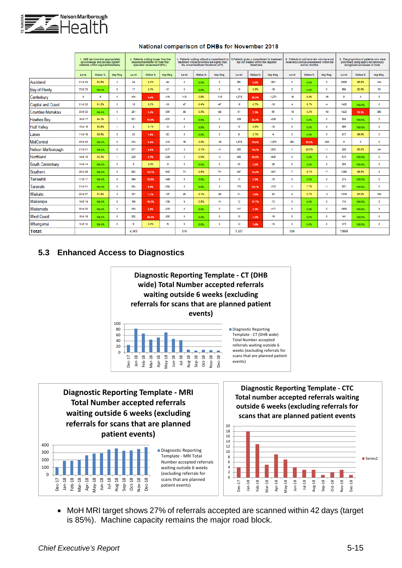

|                          |          | 1. DHB services that appropriately<br>acknowledge and process patient<br>referrals within required timeframe. |                |       | 2. Patients waiting longer than the<br>required timeframe for their first<br>specialist assessment (FSA). |          |                | the actual treatment threshold (aTT). | 3. Patients waiting without a commitment to<br>treatment whose priorities are higher than |       | but not treated within the required<br>timeframe. | 5. Patients given a commitment to treatment |                | 6. Patients in active review who have not<br>received a clinical assessment within the<br>last six months. |          | 8. The proportion of patients who were<br>prioritised using approved nationally<br>recognised processes or tools. |             |                |  |
|--------------------------|----------|---------------------------------------------------------------------------------------------------------------|----------------|-------|-----------------------------------------------------------------------------------------------------------|----------|----------------|---------------------------------------|-------------------------------------------------------------------------------------------|-------|---------------------------------------------------|---------------------------------------------|----------------|------------------------------------------------------------------------------------------------------------|----------|-------------------------------------------------------------------------------------------------------------------|-------------|----------------|--|
|                          | Level    | Status %                                                                                                      | Imp Req.       | Level | Status %                                                                                                  | Imp Req. | Level          | Status %                              | Imp Reg.                                                                                  | Level | Status %                                          | Imp Reg.                                    | Level          | Status %                                                                                                   | Imp Reg. | Level                                                                                                             | Status %    | Imp Req.       |  |
| Auckland                 | 31 of 33 | 93.9%                                                                                                         | $\overline{2}$ | 44    | 0.3%                                                                                                      | $-44$    | $\circ$        | 0.0%                                  | $\mathbf{0}$                                                                              | 391   | 5.6%                                              | $-391$                                      | $\bullet$      | 0.0%                                                                                                       | $\Omega$ | 2936                                                                                                              | 95.9%       | 124            |  |
| <b>Bay of Plenty</b>     | 23 of 23 | 100.0%                                                                                                        | 0              | 17    | 0.3%                                                                                                      | $-17$    | $\circ$        | 0.0%                                  | $\mathbf{0}$                                                                              | 18    | 0.6%                                              | $-18$                                       | 0              | 0.0%                                                                                                       | $\circ$  | 686                                                                                                               | 92.8%       | 53             |  |
| Canterbury               | x        | x                                                                                                             | $\bullet$      | 416   | 4.4%                                                                                                      | $-416$   | 110            | 0.9%                                  | $-110$                                                                                    | 1,273 | 32.3%                                             | $-1,273$                                    | 18             | 8.0%                                                                                                       | $-18$    | $\circ$                                                                                                           | x           | $\bullet$      |  |
| <b>Capital and Coast</b> | 21 of 23 | 91.3%                                                                                                         | 2              | 16    | 0.2%                                                                                                      | $-16$    | 47             | 0.4%                                  | $-47$                                                                                     | 18    | 0.7%                                              | $-18$                                       | 4              | 6.7%                                                                                                       | $-4$     | 1432                                                                                                              | 100.0%      | $\bullet$      |  |
| <b>Counties Manukau</b>  | 20 of 20 | 100.0%                                                                                                        | $\bullet$      | 291   | 2.4%                                                                                                      | $-291$   | 44             | 0.3%                                  | $-44$                                                                                     | 81    | 2.3%                                              | $-81$                                       | 19             | 3.2%                                                                                                       | $-19$    | 1420                                                                                                              | 78.5%       | 390            |  |
| <b>Hawkes Bay</b>        | 16 of 17 | 94.1%                                                                                                         | 1              | 521   | 11.8%                                                                                                     | $-521$   | $\circ$        | 0.0%                                  | $\Omega$                                                                                  | 438   | 26.4%                                             | $-438$                                      | 0              | 0.0%                                                                                                       | $\Omega$ | 508                                                                                                               | 100.0%      | $\bullet$      |  |
| <b>Hutt Valley</b>       | 15 of 16 | 93.8%                                                                                                         | 1              | з     | 0.1%                                                                                                      | $-3$     | $\circ$        | 0.0%                                  | $\mathbf{0}$                                                                              | 10    | 0.6%                                              | $-10$                                       | $\bullet$      | 0.0%                                                                                                       | $\circ$  | 689                                                                                                               | 100.0%      | $\circ$        |  |
| Lakes                    | 11 of 16 | 68.8%                                                                                                         | 5              | 52    | 1.6%                                                                                                      | $-52$    | $\circ$        | 0.0%                                  | o                                                                                         | 6     | 0.7%                                              | -6                                          | 0              | 0.0%                                                                                                       | $\circ$  | 472                                                                                                               | 99.6%       | $\overline{2}$ |  |
| MidCentral               | 23 of 23 | 100.0%                                                                                                        | $\bullet$      | 212   | 9.4%                                                                                                      | $-212$   | 15             | 0.3%                                  | $-15$                                                                                     | 1,575 | 70.0%                                             | $-1,575$                                    | 284            | 75.5%                                                                                                      | $-284$   | $\circ$                                                                                                           | $\mathbf x$ | $\circ$        |  |
| Nelson Marlborough       | 21 of 21 | 100.0%                                                                                                        | $\circ$        | 217   | 4.4%                                                                                                      | $-217$   | 3              | 0.1%                                  | $-3$                                                                                      | 253   | 19.2%                                             | $-253$                                      | f.             | 20.0%                                                                                                      | $-1$     | 328                                                                                                               | 93.2%       | 24             |  |
| Northland                | 14 of 15 | 93.3%                                                                                                         | ٠              | 228   | 5.2%                                                                                                      | $-228$   | $\overline{2}$ | 0.0%                                  | $-2$                                                                                      | 436   | 20.6%                                             | $-436$                                      | $\bullet$      | 0.0%                                                                                                       | $\circ$  | 670                                                                                                               | 100.0%      | $\bullet$      |  |
| South Canterbury         | 14 of 14 | 100.0%                                                                                                        | $\circ$        | з     | 0.2%                                                                                                      | $-3$     | $\circ$        | 0.0%                                  | $\bullet$                                                                                 | 23    | 3.6%                                              | $-23$                                       | $\bullet$      | $0.0\%$                                                                                                    | $\Omega$ | 205                                                                                                               | 100.0%      | $\mathbf 0$    |  |
| Southern                 | 28 of 28 | 100.0%                                                                                                        | $\circ$        | 922   | 12.7%                                                                                                     | $-922$   | 71             | 0.6%                                  | $-71$                                                                                     | 347   | 12.4%                                             | $-347$                                      | 7              | 6.7%                                                                                                       | $-7$     | 1292                                                                                                              | 99.8%       | 3              |  |
| Tairawhiti               | 17 of 17 | 100.0%                                                                                                        | $\circ$        | 348   | 15.8%                                                                                                     | $-348$   | $\circ$        | 0.0%                                  | $\Omega$                                                                                  | 13    | 2.9%                                              | $-13$                                       | $\bullet$      | 0.0%                                                                                                       | $\Omega$ | 274                                                                                                               | 100.0%      | $\bullet$      |  |
| Taranaki                 | 21 of 21 | 100.0%                                                                                                        | $\circ$        | 304   | 8.9%                                                                                                      | $-304$   | $\circ$        | 0.0%                                  | $\mathbf 0$                                                                               | 173   | 12.1%                                             | $-173$                                      | ٠              | 7.7%                                                                                                       | $-1$     | 537                                                                                                               | 100.0%      | $\mathbf 0$    |  |
| Waikato                  | 22 of 27 | 81.5%                                                                                                         | 5              | 107   | 1.1%                                                                                                      | $-107$   | 20             | 0.1%                                  | $-20$                                                                                     | 51    | 1.0%                                              | $-51$                                       | $\overline{2}$ | 5.7%                                                                                                       | $-2$     | 1919                                                                                                              | 94.9%       | 104            |  |
| Wairarapa                | 14 of 14 | 100.0%                                                                                                        | $\bullet$      | 156   | 19.2%                                                                                                     | $-156$   | 6              | 0.5%                                  | $-6$                                                                                      | 72    | 17.7%                                             | $-72$                                       | 0              | 0.0%                                                                                                       | $\circ$  | 115                                                                                                               | 100.0%      | $\circ$        |  |
| Waitemata                | 20 of 20 | 100.0%                                                                                                        | $\bullet$      | 320   | 2.5%                                                                                                      | $-320$   | $\circ$        | 0.0%                                  | $\bullet$                                                                                 | 117   | 3.1%                                              | $-117$                                      | $\bullet$      | 0.0%                                                                                                       | $\circ$  | 1805                                                                                                              | 100.0%      | $\bullet$      |  |
| <b>West Coast</b>        | 18 of 18 | 100.0%                                                                                                        | $\bullet$      | 202   | 20.3%                                                                                                     | $-202$   | $\circ$        | 0.0%                                  | $^{\circ}$                                                                                | 19    | 7.3%                                              | $-19$                                       | 0              | $0.0\%$                                                                                                    | $\circ$  | 141                                                                                                               | 100.0%      | $\bullet$      |  |
| Whanganui                | 10 of 10 | 100.0%                                                                                                        | $\circ$        | 6     | 0.5%                                                                                                      | $-6$     | $\circ$        | 0.0%                                  | $\mathbf{0}$                                                                              | 13    | 1.6%                                              | $-13$                                       | $\bullet$      | 0.0%                                                                                                       | $\circ$  | 379                                                                                                               | 100.0%      | $\circ$        |  |
| Total:                   |          |                                                                                                               |                | 4.385 |                                                                                                           |          | 318            |                                       |                                                                                           |       |                                                   |                                             | 336            |                                                                                                            |          | 15808                                                                                                             |             |                |  |

#### National comparison of DHBs for November 2018

## **5.3 Enhanced Access to Diagnostics**



**Diagnostic Reporting Template - MRI Total Number accepted referrals waiting outside 6 weeks (excluding referrals for scans that are planned patient events)**



Diagnostic Reporting Template - MRI Total Number accepted referrals waiting outside 6 weeks (excluding referrals for scans that are planned patient events)

**Diagnostic Reporting Template - CTC Total number accepted referrals waiting outside 6 weeks (excluding referrals for scans that are planned patient events**



• MoH MRI target shows 27% of referrals accepted are scanned within 42 days (target is 85%). Machine capacity remains the major road block.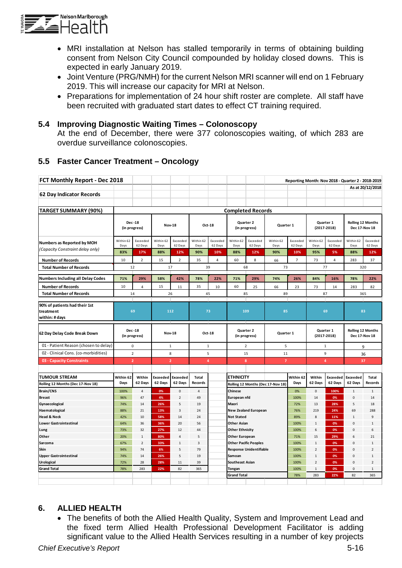

- MRI installation at Nelson has stalled temporarily in terms of obtaining building consent from Nelson City Council compounded by holiday closed downs. This is expected in early January 2019.
- Joint Venture (PRG/NMH) for the current Nelson MRI scanner will end on 1 February 2019. This will increase our capacity for MRI at Nelson.
- Preparations for implementation of 24 hour shift roster are complete. All staff have been recruited with graduated start dates to effect CT training required.

#### **5.4 Improving Diagnostic Waiting Times – Colonoscopy**

At the end of December, there were 377 colonoscopies waiting, of which 283 are overdue surveillance colonoscopies.

# **5.5 Faster Cancer Treatment – Oncology**

| FCT Monthly Report - Dec 2018            |                                |                          |                   |                     |                   |                     |                        |                                |                                   |                     |                   | Reporting Month: Nov 2018 - Quarter 2 - 2018-2019 |                                           |                     |  |
|------------------------------------------|--------------------------------|--------------------------|-------------------|---------------------|-------------------|---------------------|------------------------|--------------------------------|-----------------------------------|---------------------|-------------------|---------------------------------------------------|-------------------------------------------|---------------------|--|
|                                          |                                |                          |                   |                     |                   |                     |                        |                                |                                   |                     |                   |                                                   |                                           | As at 20/12/2018    |  |
| 62 Day Indicator Records                 |                                |                          |                   |                     |                   |                     |                        |                                |                                   |                     |                   |                                                   |                                           |                     |  |
|                                          |                                |                          |                   |                     |                   |                     |                        |                                |                                   |                     |                   |                                                   |                                           |                     |  |
| <b>TARGET SUMMARY (90%)</b>              |                                | <b>Completed Records</b> |                   |                     |                   |                     |                        |                                |                                   |                     |                   |                                                   |                                           |                     |  |
|                                          |                                |                          |                   |                     |                   |                     |                        |                                |                                   |                     |                   |                                                   |                                           |                     |  |
|                                          | <b>Dec-18</b><br>(in progress) |                          |                   | <b>Nov-18</b>       | Oct-18            |                     |                        | Quarter 2<br>(in progress)     | Quarter 1                         |                     |                   | Quarter 1<br>$(2017 - 2018)$                      | <b>Rolling 12 Months</b><br>Dec 17-Nov 18 |                     |  |
| Numbers as Reported by MOH               | Within 62<br>Days              | Exceeded<br>62 Days      | Within 62<br>Days | Exceeded<br>62 Days | Within 62<br>Days | Exceeded<br>62 Days | Within 62<br>Days      | Exceeded<br>62 Days            | Within 62<br>Days                 | Exceeded<br>62 Days | Within 62<br>Days | Exceeded<br>62 Days                               | Within 62<br>Days                         | Exceeded<br>62 Days |  |
| (Capacity Constraint delay only)         | 83%                            | 17%                      | 88%               | 12%                 | 90%               | 10%                 | 88%                    | 12%                            | 90%                               | 10%                 | 95%               | 5%                                                | 88%                                       | 12%                 |  |
| <b>Number of Records</b>                 | 10                             | $\overline{2}$           | 15                | $\overline{2}$      | 35                | 4                   | 60                     | 8                              | 66                                | $\overline{7}$      | 73                | $\overline{4}$                                    | 283                                       | 37                  |  |
| <b>Total Number of Records</b>           | 12                             |                          |                   | 17                  | 39                |                     |                        | 68                             | 73                                |                     |                   | 77                                                |                                           | 320                 |  |
|                                          |                                |                          |                   |                     |                   |                     |                        |                                |                                   |                     |                   |                                                   |                                           |                     |  |
| <b>Numbers Including all Delay Codes</b> | 71%                            | 29%                      | 58%               | 42%                 | 78%               | 22%                 | 71%                    | 29%                            | 74%                               | 26%                 | 84%               | 16%                                               | 78%                                       | 22%                 |  |
| <b>Number of Records</b>                 | 10                             | 4                        | 15                | 11                  | 35                | 10                  | 60                     | 25                             | 66                                | 23                  | 73                | 14                                                | 283                                       | 82                  |  |
| <b>Total Number of Records</b>           | 14                             |                          |                   | 26                  | 45                |                     |                        | 85                             | 89                                |                     |                   | 87                                                | 365                                       |                     |  |
| 90% of patients had their 1st            |                                |                          |                   |                     |                   |                     |                        |                                |                                   |                     |                   |                                                   |                                           |                     |  |
| treatment                                | 69                             |                          | 112               |                     | 73                |                     | 109                    |                                | 85                                |                     |                   | 69                                                | 83                                        |                     |  |
| within: # days                           |                                |                          |                   |                     |                   |                     |                        |                                |                                   |                     |                   |                                                   |                                           |                     |  |
|                                          |                                |                          |                   |                     |                   |                     |                        |                                |                                   |                     |                   |                                                   |                                           |                     |  |
| 62 Day Delay Code Break Down             | Dec-18<br>(in progress)        |                          | <b>Nov-18</b>     |                     | Oct-18            |                     |                        | Quarter 2<br>(in progress)     | Quarter 1                         |                     |                   | Quarter 1<br>$(2017 - 2018)$                      | <b>Rolling 12 Months</b><br>Dec 17-Nov 18 |                     |  |
| 01 - Patient Reason (chosen to delay)    | 0                              |                          |                   | $\mathbf{1}$        | $\mathbf{1}$      |                     | $\overline{2}$         |                                | 5                                 |                     |                   | 1                                                 | 9                                         |                     |  |
| 02 - Clinical Cons. (co-morbidities)     | $\overline{2}$                 |                          |                   | 8                   |                   | 5                   |                        | 15                             |                                   | 11                  |                   | 9                                                 |                                           | 36                  |  |
| 03 - Capacity Constraints                | $\overline{2}$                 |                          | $\overline{2}$    |                     |                   | $\overline{4}$      |                        | 8                              | $\overline{7}$                    |                     |                   | $\overline{4}$                                    | 37                                        |                     |  |
|                                          |                                |                          |                   |                     |                   |                     |                        |                                |                                   |                     |                   |                                                   |                                           |                     |  |
| <b>TUMOUR STREAM</b>                     | Within 62                      | Within                   | <b>Exceeded</b>   | <b>Exceeded</b>     | Total             |                     | <b>ETHNICITY</b>       |                                |                                   | Within 62           | Within            | Exceeded                                          | <b>Exceeded</b>                           | <b>Total</b>        |  |
| Rolling 12 Months (Dec 17-Nov 18)        | Days                           | 62 Days                  | 62 Days           | 62 Days             | Records           |                     |                        |                                | Rolling 12 Months (Dec 17-Nov 18) | Days                | 62 Days           | 62 Days                                           | 62 Days                                   | Records             |  |
| Brain/CNS                                | 100%                           | $\sqrt{4}$               | 0%                | 0                   | $\sqrt{4}$        |                     | <b>Chinese</b>         |                                |                                   | 0%                  | $\pmb{0}$         | 100%                                              | $\mathbf 1$                               | $\,1\,$             |  |
| <b>Breast</b>                            | 96%                            | 47                       | 4%                | $\overline{2}$      | 49                |                     | European nfd           |                                |                                   | 100%                | 14                | 0%                                                | $\pmb{0}$                                 | 14                  |  |
| Gynaecological                           | 74%                            | 14                       | 26%               | 5                   | 19                |                     | Maori                  |                                |                                   | 72%                 | 13                | 28%                                               | 5                                         | 18                  |  |
| Haematological                           | 88%                            | 21                       | 13%               | 3                   | 24                |                     |                        | <b>New Zealand European</b>    |                                   | 76%                 | 219               | 24%                                               | 69                                        | 288                 |  |
| <b>Head &amp; Neck</b>                   | 42%                            | 10                       | 58%               | 14                  | 24                |                     | <b>Not Stated</b>      |                                |                                   | 89%                 | 8                 | 11%                                               | $\mathbf{1}$                              | 9                   |  |
| <b>Lower Gastrointestinal</b>            | 64%                            | 36                       | 36%               | 20                  | 56                |                     | <b>Other Asian</b>     |                                |                                   | 100%                | $\,1\,$           | 0%                                                | $\mathbf 0$                               | $\,1\,$             |  |
| Lung                                     | 73%                            | 32                       | 27%               | 12                  | 44                |                     | <b>Other Ethnicity</b> |                                |                                   | 100%                | 6                 | 0%                                                | $\mathbf 0$                               | 6                   |  |
| Other                                    | 20%                            | $\mathbf 1$              | 80%               | $\overline{4}$      | 5                 |                     | <b>Other European</b>  |                                |                                   | 71%                 | 15                | 29%                                               | 6                                         | 21                  |  |
| Sarcoma                                  | 67%                            | $\overline{2}$           | 33%               | $\mathbf{1}$        | $\mathsf 3$       |                     |                        | <b>Other Pacific Peoples</b>   |                                   | 100%                | $\,1\,$           | 0%                                                | $\Omega$                                  | $\,1\,$             |  |
| Skin                                     | 94%                            | 74                       | 6%                | 5                   | 79                |                     |                        | <b>Response Unidentifiable</b> |                                   | 100%                | $\sqrt{2}$        | 0%                                                | $\Omega$                                  | $\overline{2}$      |  |
| <b>Upper Gastrointestinal</b>            | 74%                            | 14                       | 26%               | 5                   | 19                |                     | Samoan                 |                                |                                   | 100%                | $\mathbf 1$       | 0%                                                | 0                                         | $\mathbf{1}$        |  |
| <b>Urological</b>                        | 72%                            | 28                       | 28%               | 11                  | 39                |                     | <b>Southeast Asian</b> |                                |                                   | 100%                | $\overline{2}$    | 0%                                                | $\Omega$                                  | $\overline{2}$      |  |
| <b>Grand Total</b>                       | 78%                            | 283                      | 22%               | 82                  | 365               |                     | Tongan                 |                                |                                   | 100%                | $\,1\,$           | 0%                                                | $\mathbf{0}$                              | $\,1\,$             |  |
|                                          |                                |                          |                   |                     |                   |                     | <b>Grand Total</b>     |                                |                                   | 78%                 | 283               | 22%                                               | 82                                        | 365                 |  |
|                                          |                                |                          |                   |                     |                   |                     |                        |                                |                                   |                     |                   |                                                   |                                           |                     |  |

# **6. ALLIED HEALTH**

• The benefits of both the Allied Health Quality, System and Improvement Lead and the fixed term Allied Health Professional Development Facilitator is adding significant value to the Allied Health Services resulting in a number of key projects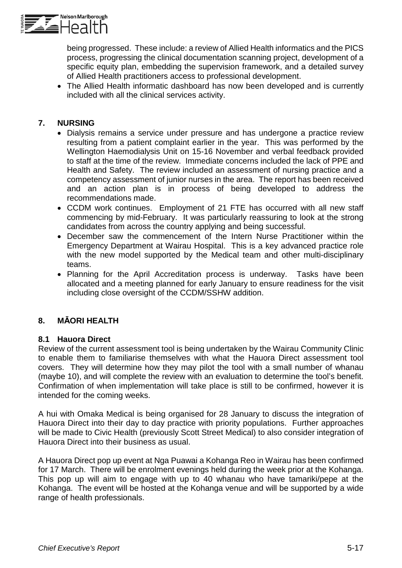

being progressed. These include: a review of Allied Health informatics and the PICS process, progressing the clinical documentation scanning project, development of a specific equity plan, embedding the supervision framework, and a detailed survey of Allied Health practitioners access to professional development.

• The Allied Health informatic dashboard has now been developed and is currently included with all the clinical services activity.

## **7. NURSING**

- Dialysis remains a service under pressure and has undergone a practice review resulting from a patient complaint earlier in the year. This was performed by the Wellington Haemodialysis Unit on 15-16 November and verbal feedback provided to staff at the time of the review. Immediate concerns included the lack of PPE and Health and Safety. The review included an assessment of nursing practice and a competency assessment of junior nurses in the area. The report has been received and an action plan is in process of being developed to address the recommendations made.
- CCDM work continues. Employment of 21 FTE has occurred with all new staff commencing by mid-February. It was particularly reassuring to look at the strong candidates from across the country applying and being successful.
- December saw the commencement of the Intern Nurse Practitioner within the Emergency Department at Wairau Hospital. This is a key advanced practice role with the new model supported by the Medical team and other multi-disciplinary teams.
- Planning for the April Accreditation process is underway. Tasks have been allocated and a meeting planned for early January to ensure readiness for the visit including close oversight of the CCDM/SSHW addition.

# **8. MĀORI HEALTH**

#### **8.1 Hauora Direct**

Review of the current assessment tool is being undertaken by the Wairau Community Clinic to enable them to familiarise themselves with what the Hauora Direct assessment tool covers. They will determine how they may pilot the tool with a small number of whanau (maybe 10), and will complete the review with an evaluation to determine the tool's benefit. Confirmation of when implementation will take place is still to be confirmed, however it is intended for the coming weeks.

A hui with Omaka Medical is being organised for 28 January to discuss the integration of Hauora Direct into their day to day practice with priority populations. Further approaches will be made to Civic Health (previously Scott Street Medical) to also consider integration of Hauora Direct into their business as usual.

A Hauora Direct pop up event at Nga Puawai a Kohanga Reo in Wairau has been confirmed for 17 March. There will be enrolment evenings held during the week prior at the Kohanga. This pop up will aim to engage with up to 40 whanau who have tamariki/pepe at the Kohanga. The event will be hosted at the Kohanga venue and will be supported by a wide range of health professionals.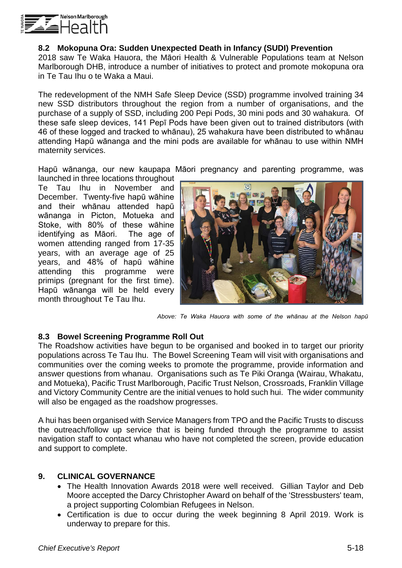

#### **8.2 Mokopuna Ora: Sudden Unexpected Death in Infancy (SUDI) Prevention**

2018 saw Te Waka Hauora, the Māori Health & Vulnerable Populations team at Nelson Marlborough DHB, introduce a number of initiatives to protect and promote mokopuna ora in Te Tau Ihu o te Waka a Maui.

The redevelopment of the NMH Safe Sleep Device (SSD) programme involved training 34 new SSD distributors throughout the region from a number of organisations, and the purchase of a supply of SSD, including 200 Pepi Pods, 30 mini pods and 30 wahakura. Of these safe sleep devices, 141 Pepī Pods have been given out to trained distributors (with 46 of these logged and tracked to whānau), 25 wahakura have been distributed to whānau attending Hapū wānanga and the mini pods are available for whānau to use within NMH maternity services.

Hapū wānanga, our new kaupapa Māori pregnancy and parenting programme, was

launched in three locations throughout Te Tau Ihu in November and December. Twenty-five hapū wāhine and their whānau attended hapū wānanga in Picton, Motueka and Stoke, with 80% of these wāhine identifying as Māori. The age of women attending ranged from 17-35 years, with an average age of 25 years, and 48% of hapū wāhine attending this programme were primips (pregnant for the first time). Hapū wānanga will be held every month throughout Te Tau Ihu.



*Above: Te Waka Hauora with some of the whānau at the Nelson hapū* 

#### **8.3 Bowel Screening Programme Roll Out**

The Roadshow activities have begun to be organised and booked in to target our priority populations across Te Tau Ihu. The Bowel Screening Team will visit with organisations and communities over the coming weeks to promote the programme, provide information and answer questions from whanau. Organisations such as Te Piki Oranga (Wairau, Whakatu, and Motueka), Pacific Trust Marlborough, Pacific Trust Nelson, Crossroads, Franklin Village and Victory Community Centre are the initial venues to hold such hui. The wider community will also be engaged as the roadshow progresses.

A hui has been organised with Service Managers from TPO and the Pacific Trusts to discuss the outreach/follow up service that is being funded through the programme to assist navigation staff to contact whanau who have not completed the screen, provide education and support to complete.

#### **9. CLINICAL GOVERNANCE**

- The Health Innovation Awards 2018 were well received. Gillian Taylor and Deb Moore accepted the Darcy Christopher Award on behalf of the 'Stressbusters' team, a project supporting Colombian Refugees in Nelson.
- Certification is due to occur during the week beginning 8 April 2019. Work is underway to prepare for this.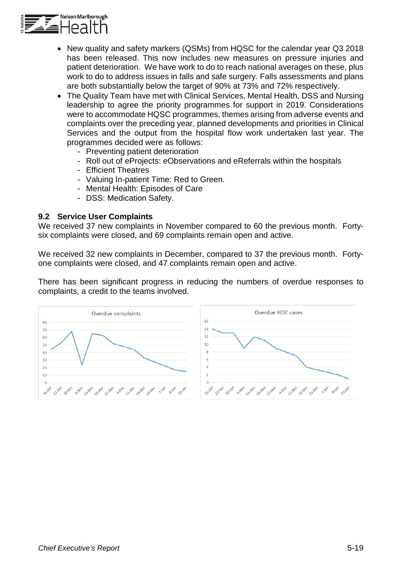

- New quality and safety markers (QSMs) from HQSC for the calendar year Q3 2018 has been released. This now includes new measures on pressure injuries and patient deterioration. We have work to do to reach national averages on these, plus work to do to address issues in falls and safe surgery. Falls assessments and plans are both substantially below the target of 90% at 73% and 72% respectively.
- The Quality Team have met with Clinical Services, Mental Health, DSS and Nursing leadership to agree the priority programmes for support in 2019. Considerations were to accommodate HQSC programmes, themes arising from adverse events and complaints over the preceding year, planned developments and priorities in Clinical Services and the output from the hospital flow work undertaken last year. The programmes decided were as follows:
	- Preventing patient deterioration
	- Roll out of eProjects: eObservations and eReferrals within the hospitals
	- Efficient Theatres
	- Valuing In-patient Time: Red to Green.
	- Mental Health: Episodes of Care
	- DSS: Medication Safety.

#### **9.2 Service User Complaints**

We received 37 new complaints in November compared to 60 the previous month. Fortysix complaints were closed, and 69 complaints remain open and active.

We received 32 new complaints in December, compared to 37 the previous month. Fortyone complaints were closed, and 47 complaints remain open and active.

There has been significant progress in reducing the numbers of overdue responses to complaints, a credit to the teams involved.